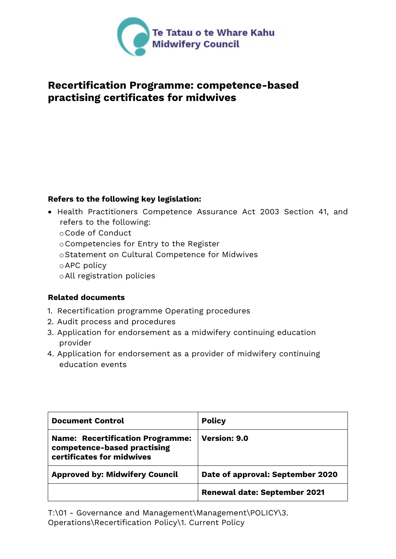

# **Recertification Programme: competence-based practising certificates for midwives**

### **Refers to the following key legislation:**

- Health Practitioners Competence Assurance Act 2003 Section 41, and refers to the following:
	- oCode of Conduct
	- oCompetencies for Entry to the Register
	- oStatement on Cultural Competence for Midwives
	- oAPC policy
	- oAll registration policies

# **Related documents**

- 1. Recertification programme Operating procedures
- 2. Audit process and procedures
- 3. Application for endorsement as a midwifery continuing education provider
- 4. Application for endorsement as a provider of midwifery continuing education events

| <b>Document Control</b>                                                                             | <b>Policy</b>                       |  |
|-----------------------------------------------------------------------------------------------------|-------------------------------------|--|
| <b>Name: Recertification Programme:</b><br>competence-based practising<br>certificates for midwives | <b>Version: 9.0</b>                 |  |
| <b>Approved by: Midwifery Council</b>                                                               | Date of approval: September 2020    |  |
|                                                                                                     | <b>Renewal date: September 2021</b> |  |

T:\01 - Governance and Management\Management\POLICY\3. Operations\Recertification Policy\1. Current Policy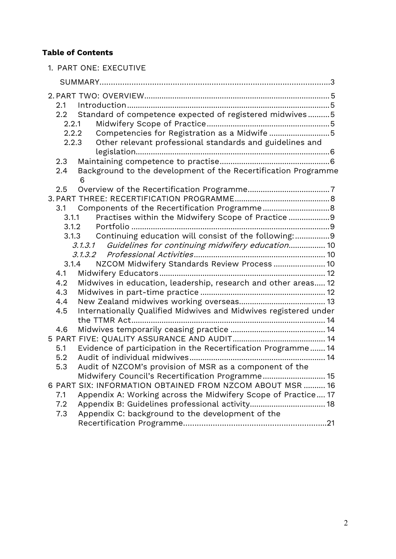# **Table of Contents**

| 1. PART ONE: EXECUTIVE                                                                                                       |
|------------------------------------------------------------------------------------------------------------------------------|
|                                                                                                                              |
|                                                                                                                              |
| 2.1                                                                                                                          |
| Standard of competence expected of registered midwives5<br>2.2<br>2.2.1                                                      |
| Competencies for Registration as a Midwife 5<br>2.2.2                                                                        |
| Other relevant professional standards and guidelines and<br>2.2.3                                                            |
|                                                                                                                              |
| 2.3                                                                                                                          |
| Background to the development of the Recertification Programme<br>2.4<br>6                                                   |
| 2.5                                                                                                                          |
|                                                                                                                              |
| 3.1                                                                                                                          |
| Practises within the Midwifery Scope of Practice9<br>3.1.1                                                                   |
| 3.1.2                                                                                                                        |
| Continuing education will consist of the following:9<br>3.1.3<br>Guidelines for continuing midwifery education 10<br>3.1.3.1 |
|                                                                                                                              |
| NZCOM Midwifery Standards Review Process  10<br>3.1.4                                                                        |
| 4.1                                                                                                                          |
| 4.2<br>Midwives in education, leadership, research and other areas 12                                                        |
| 4.3                                                                                                                          |
| 4.4<br>Internationally Qualified Midwives and Midwives registered under<br>4.5                                               |
|                                                                                                                              |
| 4.6                                                                                                                          |
|                                                                                                                              |
| Evidence of participation in the Recertification Programme 14<br>5.1                                                         |
| 5.2                                                                                                                          |
| Audit of NZCOM's provision of MSR as a component of the<br>5.3<br>Midwifery Council's Recertification Programme 15           |
| 6 PART SIX: INFORMATION OBTAINED FROM NZCOM ABOUT MSR  16                                                                    |
| Appendix A: Working across the Midwifery Scope of Practice 17<br>7.1                                                         |
| 7.2                                                                                                                          |
| Appendix C: background to the development of the<br>7.3                                                                      |
|                                                                                                                              |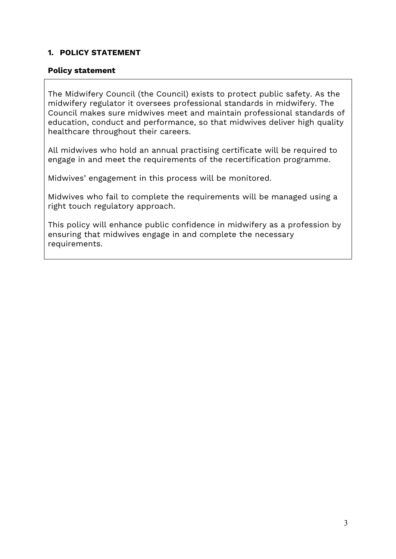### **1. POLICY STATEMENT**

#### **Policy statement**

The Midwifery Council (the Council) exists to protect public safety. As the midwifery regulator it oversees professional standards in midwifery. The Council makes sure midwives meet and maintain professional standards of education, conduct and performance, so that midwives deliver high quality healthcare throughout their careers.

All midwives who hold an annual practising certificate will be required to engage in and meet the requirements of the recertification programme.

Midwives' engagement in this process will be monitored.

Midwives who fail to complete the requirements will be managed using a right touch regulatory approach.

This policy will enhance public confidence in midwifery as a profession by ensuring that midwives engage in and complete the necessary requirements.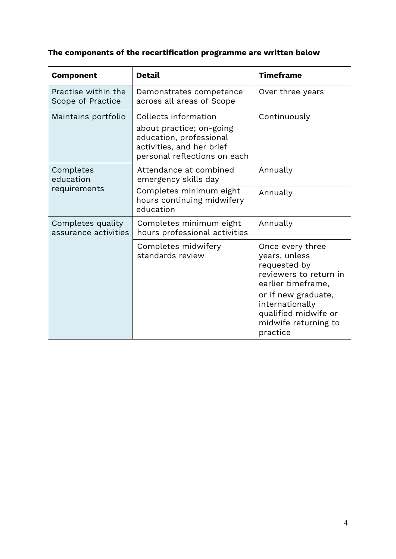# **The components of the recertification programme are written below**

| <b>Component</b>                          | <b>Detail</b>                                                                                                                            | <b>Timeframe</b>                                                                                                                                                                                        |
|-------------------------------------------|------------------------------------------------------------------------------------------------------------------------------------------|---------------------------------------------------------------------------------------------------------------------------------------------------------------------------------------------------------|
| Practise within the<br>Scope of Practice  | Demonstrates competence<br>across all areas of Scope                                                                                     | Over three years                                                                                                                                                                                        |
| Maintains portfolio                       | Collects information<br>about practice; on-going<br>education, professional<br>activities, and her brief<br>personal reflections on each | Continuously                                                                                                                                                                                            |
| Completes<br>education<br>requirements    | Attendance at combined<br>emergency skills day                                                                                           | Annually                                                                                                                                                                                                |
|                                           | Completes minimum eight<br>hours continuing midwifery<br>education                                                                       | Annually                                                                                                                                                                                                |
| Completes quality<br>assurance activities | Completes minimum eight<br>hours professional activities                                                                                 | Annually                                                                                                                                                                                                |
|                                           | Completes midwifery<br>standards review                                                                                                  | Once every three<br>years, unless<br>requested by<br>reviewers to return in<br>earlier timeframe,<br>or if new graduate,<br>internationally<br>qualified midwife or<br>midwife returning to<br>practice |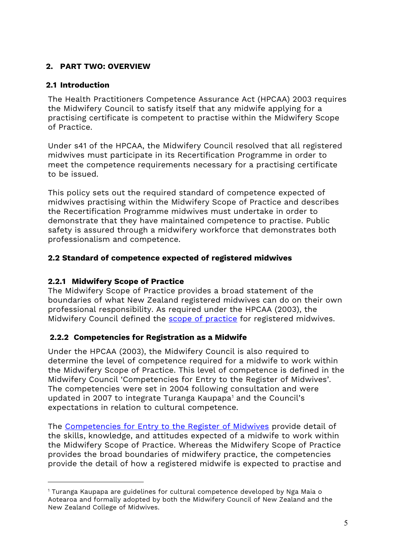# **2. PART TWO: OVERVIEW**

# **2.1 Introduction**

The Health Practitioners Competence Assurance Act (HPCAA) 2003 requires the Midwifery Council to satisfy itself that any midwife applying for a practising certificate is competent to practise within the Midwifery Scope of Practice.

Under s41 of the HPCAA, the Midwifery Council resolved that all registered midwives must participate in its Recertification Programme in order to meet the competence requirements necessary for a practising certificate to be issued.

This policy sets out the required standard of competence expected of midwives practising within the Midwifery Scope of Practice and describes the Recertification Programme midwives must undertake in order to demonstrate that they have maintained competence to practise. Public safety is assured through a midwifery workforce that demonstrates both professionalism and competence.

# **2.2 Standard of competence expected of registered midwives**

# **2.2.1 Midwifery Scope of Practice**

The Midwifery Scope of Practice provides a broad statement of the boundaries of what New Zealand registered midwives can do on their own professional responsibility. As required under the HPCAA (2003), the Midwifery Council defined the [scope of practice](http://www.midwiferycouncil.health.nz/midwives/midwifery-scope-practice) for registered midwives.

# **2.2.2 Competencies for Registration as a Midwife**

Under the HPCAA (2003), the Midwifery Council is also required to determine the level of competence required for a midwife to work within the Midwifery Scope of Practice. This level of competence is defined in the Midwifery Council 'Competencies for Entry to the Register of Midwives'. The competencies were set in 2004 following consultation and were updated in 2007 to integrate Turanga Kaupapa<sup>1</sup> and the Council's expectations in relation to cultural competence.

The [Competencies for Entry to the Register of Midwives](https://www.midwiferycouncil.health.nz/sites/default/files/professional-standards/Competencies%20for%20Entry%20to%20the%20register%20of%20Midwives%202007%20new%20form.pdf) provide detail of the skills, knowledge, and attitudes expected of a midwife to work within the Midwifery Scope of Practice. Whereas the Midwifery Scope of Practice provides the broad boundaries of midwifery practice, the competencies provide the detail of how a registered midwife is expected to practise and

<span id="page-4-0"></span><sup>1</sup> Turanga Kaupapa are guidelines for cultural competence developed by Nga Maia o Aotearoa and formally adopted by both the Midwifery Council of New Zealand and the New Zealand College of Midwives.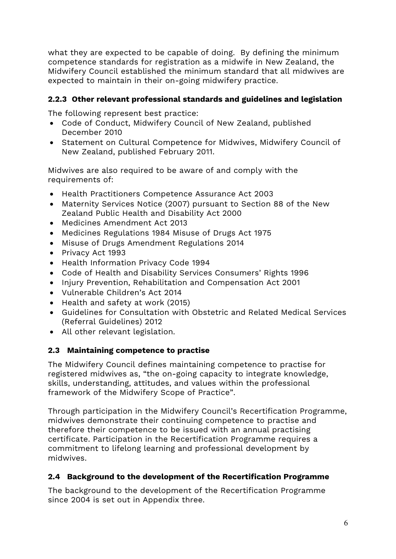what they are expected to be capable of doing. By defining the minimum competence standards for registration as a midwife in New Zealand, the Midwifery Council established the minimum standard that all midwives are expected to maintain in their on-going midwifery practice.

# **2.2.3 Other relevant professional standards and guidelines and legislation**

The following represent best practice:

- Code of Conduct, Midwifery Council of New Zealand, published December 2010
- Statement on Cultural Competence for Midwives, Midwifery Council of New Zealand, published February 2011.

Midwives are also required to be aware of and comply with the requirements of:

- Health Practitioners Competence Assurance Act 2003
- Maternity Services Notice (2007) pursuant to Section 88 of the New Zealand Public Health and Disability Act 2000
- Medicines Amendment Act 2013
- Medicines Regulations 1984 Misuse of Drugs Act 1975
- Misuse of Drugs Amendment Regulations 2014
- Privacy Act 1993
- Health Information Privacy Code 1994
- Code of Health and Disability Services Consumers' Rights 1996
- Injury Prevention, Rehabilitation and Compensation Act 2001
- Vulnerable Children's Act 2014
- Health and safety at work (2015)
- Guidelines for Consultation with Obstetric and Related Medical Services (Referral Guidelines) 2012
- All other relevant legislation.

# **2.3 Maintaining competence to practise**

The Midwifery Council defines maintaining competence to practise for registered midwives as, "the on-going capacity to integrate knowledge, skills, understanding, attitudes, and values within the professional framework of the Midwifery Scope of Practice".

Through participation in the Midwifery Council's Recertification Programme, midwives demonstrate their continuing competence to practise and therefore their competence to be issued with an annual practising certificate. Participation in the Recertification Programme requires a commitment to lifelong learning and professional development by midwives.

# **2.4 Background to the development of the Recertification Programme**

The background to the development of the Recertification Programme since 2004 is set out in Appendix three.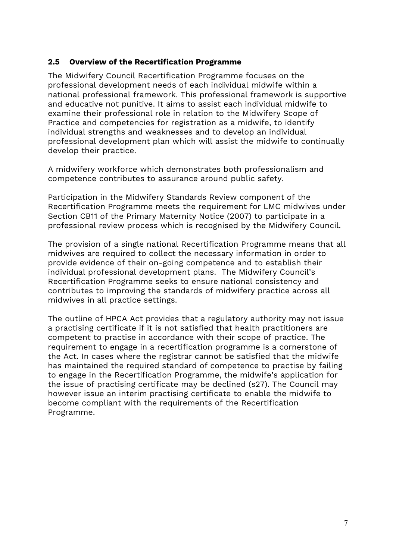#### **2.5 Overview of the Recertification Programme**

The Midwifery Council Recertification Programme focuses on the professional development needs of each individual midwife within a national professional framework. This professional framework is supportive and educative not punitive. It aims to assist each individual midwife to examine their professional role in relation to the Midwifery Scope of Practice and competencies for registration as a midwife, to identify individual strengths and weaknesses and to develop an individual professional development plan which will assist the midwife to continually develop their practice.

A midwifery workforce which demonstrates both professionalism and competence contributes to assurance around public safety.

Participation in the Midwifery Standards Review component of the Recertification Programme meets the requirement for LMC midwives under Section CB11 of the Primary Maternity Notice (2007) to participate in a professional review process which is recognised by the Midwifery Council.

The provision of a single national Recertification Programme means that all midwives are required to collect the necessary information in order to provide evidence of their on-going competence and to establish their individual professional development plans. The Midwifery Council's Recertification Programme seeks to ensure national consistency and contributes to improving the standards of midwifery practice across all midwives in all practice settings.

The outline of HPCA Act provides that a regulatory authority may not issue a practising certificate if it is not satisfied that health practitioners are competent to practise in accordance with their scope of practice. The requirement to engage in a recertification programme is a cornerstone of the Act. In cases where the registrar cannot be satisfied that the midwife has maintained the required standard of competence to practise by failing to engage in the Recertification Programme, the midwife's application for the issue of practising certificate may be declined (s27). The Council may however issue an interim practising certificate to enable the midwife to become compliant with the requirements of the Recertification Programme.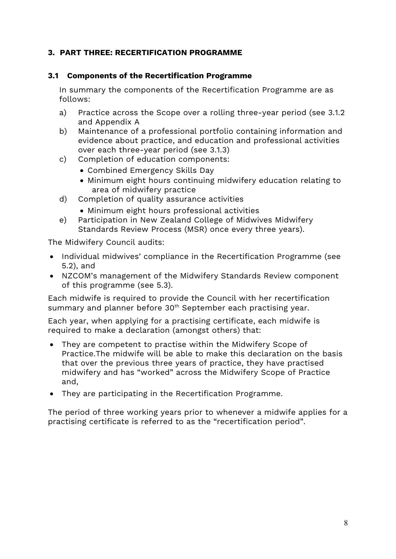# **3. PART THREE: RECERTIFICATION PROGRAMME**

### **3.1 Components of the Recertification Programme**

In summary the components of the Recertification Programme are as follows:

- a) Practice across the Scope over a rolling three-year period (see 3.1.2 and Appendix A
- b) Maintenance of a professional portfolio containing information and evidence about practice, and education and professional activities over each three-year period (see 3.1.3)
- c) Completion of education components:
	- Combined Emergency Skills Day
	- Minimum eight hours continuing midwifery education relating to area of midwifery practice
- d) Completion of quality assurance activities
	- Minimum eight hours professional activities
- e) Participation in New Zealand College of Midwives Midwifery Standards Review Process (MSR) once every three years).

The Midwifery Council audits:

- Individual midwives' compliance in the Recertification Programme (see 5.2), and
- NZCOM's management of the Midwifery Standards Review component of this programme (see 5.3).

Each midwife is required to provide the Council with her recertification summary and planner before 30<sup>th</sup> September each practising year.

Each year, when applying for a practising certificate, each midwife is required to make a declaration (amongst others) that:

- They are competent to practise within the Midwifery Scope of Practice.The midwife will be able to make this declaration on the basis that over the previous three years of practice, they have practised midwifery and has "worked" across the Midwifery Scope of Practice and,
- They are participating in the Recertification Programme.

The period of three working years prior to whenever a midwife applies for a practising certificate is referred to as the "recertification period".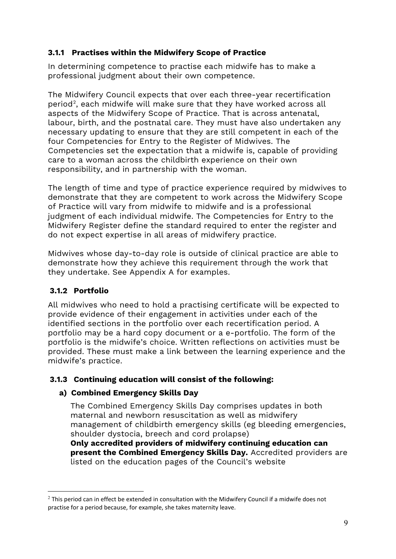# **3.1.1 Practises within the Midwifery Scope of Practice**

In determining competence to practise each midwife has to make a professional judgment about their own competence.

The Midwifery Council expects that over each three-year recertification period[2](#page-8-0), each midwife will make sure that they have worked across all aspects of the Midwifery Scope of Practice. That is across antenatal, labour, birth, and the postnatal care. They must have also undertaken any necessary updating to ensure that they are still competent in each of the four Competencies for Entry to the Register of Midwives. The Competencies set the expectation that a midwife is, capable of providing care to a woman across the childbirth experience on their own responsibility, and in partnership with the woman.

The length of time and type of practice experience required by midwives to demonstrate that they are competent to work across the Midwifery Scope of Practice will vary from midwife to midwife and is a professional judgment of each individual midwife. The Competencies for Entry to the Midwifery Register define the standard required to enter the register and do not expect expertise in all areas of midwifery practice.

Midwives whose day-to-day role is outside of clinical practice are able to demonstrate how they achieve this requirement through the work that they undertake. See Appendix A for examples.

# **3.1.2 Portfolio**

All midwives who need to hold a practising certificate will be expected to provide evidence of their engagement in activities under each of the identified sections in the portfolio over each recertification period. A portfolio may be a hard copy document or a e-portfolio. The form of the portfolio is the midwife's choice. Written reflections on activities must be provided. These must make a link between the learning experience and the midwife's practice.

# **3.1.3 Continuing education will consist of the following:**

# **a) Combined Emergency Skills Day**

The Combined Emergency Skills Day comprises updates in both maternal and newborn resuscitation as well as midwifery management of childbirth emergency skills (eg bleeding emergencies, shoulder dystocia, breech and cord prolapse) **Only accredited providers of midwifery continuing education can** 

**present the Combined Emergency Skills Day.** Accredited providers are listed on the education pages of the Council's website

<span id="page-8-0"></span> $2$  This period can in effect be extended in consultation with the Midwifery Council if a midwife does not practise for a period because, for example, she takes maternity leave.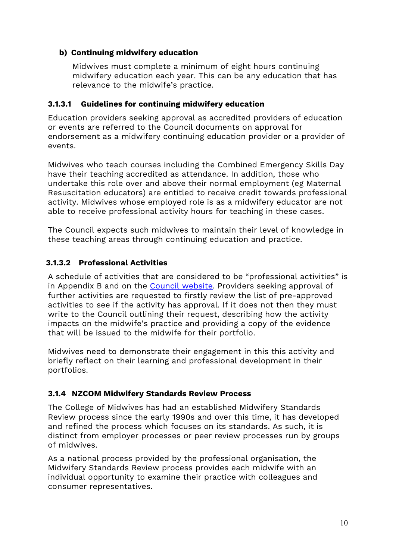# **b) Continuing midwifery education**

Midwives must complete a minimum of eight hours continuing midwifery education each year. This can be any education that has relevance to the midwife's practice.

# **3.1.3.1 Guidelines for continuing midwifery education**

Education providers seeking approval as accredited providers of education or events are referred to the Council documents on approval for endorsement as a midwifery continuing education provider or a provider of events.

Midwives who teach courses including the Combined Emergency Skills Day have their teaching accredited as attendance. In addition, those who undertake this role over and above their normal employment (eg Maternal Resuscitation educators) are entitled to receive credit towards professional activity. Midwives whose employed role is as a midwifery educator are not able to receive professional activity hours for teaching in these cases.

The Council expects such midwives to maintain their level of knowledge in these teaching areas through continuing education and practice.

# **3.1.3.2 Professional Activities**

A schedule of activities that are considered to be "professional activities" is in Appendix B and on the [Council website.](https://www.midwiferycouncil.health.nz/midwives/maintaining-competence/professional-activities-recertification) Providers seeking approval of further activities are requested to firstly review the list of pre-approved activities to see if the activity has approval. If it does not then they must write to the Council outlining their request, describing how the activity impacts on the midwife's practice and providing a copy of the evidence that will be issued to the midwife for their portfolio.

Midwives need to demonstrate their engagement in this this activity and briefly reflect on their learning and professional development in their portfolios.

# **3.1.4 NZCOM Midwifery Standards Review Process**

The College of Midwives has had an established Midwifery Standards Review process since the early 1990s and over this time, it has developed and refined the process which focuses on its standards. As such, it is distinct from employer processes or peer review processes run by groups of midwives.

As a national process provided by the professional organisation, the Midwifery Standards Review process provides each midwife with an individual opportunity to examine their practice with colleagues and consumer representatives.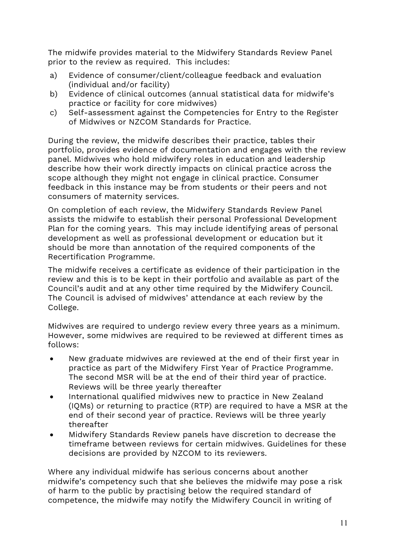The midwife provides material to the Midwifery Standards Review Panel prior to the review as required. This includes:

- a) Evidence of consumer/client/colleague feedback and evaluation (individual and/or facility)
- b) Evidence of clinical outcomes (annual statistical data for midwife's practice or facility for core midwives)
- c) Self-assessment against the Competencies for Entry to the Register of Midwives or NZCOM Standards for Practice.

During the review, the midwife describes their practice, tables their portfolio, provides evidence of documentation and engages with the review panel. Midwives who hold midwifery roles in education and leadership describe how their work directly impacts on clinical practice across the scope although they might not engage in clinical practice. Consumer feedback in this instance may be from students or their peers and not consumers of maternity services.

On completion of each review, the Midwifery Standards Review Panel assists the midwife to establish their personal Professional Development Plan for the coming years. This may include identifying areas of personal development as well as professional development or education but it should be more than annotation of the required components of the Recertification Programme.

The midwife receives a certificate as evidence of their participation in the review and this is to be kept in their portfolio and available as part of the Council's audit and at any other time required by the Midwifery Council. The Council is advised of midwives' attendance at each review by the College.

Midwives are required to undergo review every three years as a minimum. However, some midwives are required to be reviewed at different times as follows:

- New graduate midwives are reviewed at the end of their first year in practice as part of the Midwifery First Year of Practice Programme. The second MSR will be at the end of their third year of practice. Reviews will be three yearly thereafter
- International qualified midwives new to practice in New Zealand (IQMs) or returning to practice (RTP) are required to have a MSR at the end of their second year of practice. Reviews will be three yearly thereafter
- Midwifery Standards Review panels have discretion to decrease the timeframe between reviews for certain midwives. Guidelines for these decisions are provided by NZCOM to its reviewers.

Where any individual midwife has serious concerns about another midwife's competency such that she believes the midwife may pose a risk of harm to the public by practising below the required standard of competence, the midwife may notify the Midwifery Council in writing of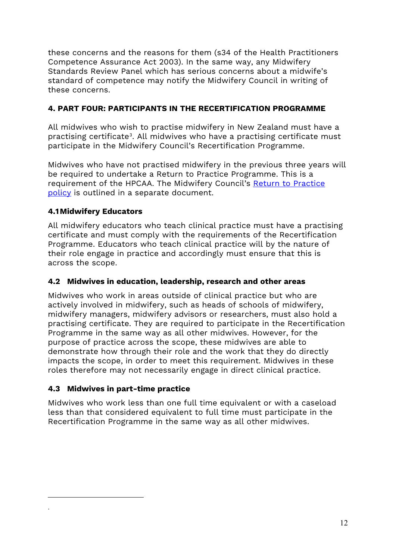these concerns and the reasons for them (s34 of the Health Practitioners Competence Assurance Act 2003). In the same way, any Midwifery Standards Review Panel which has serious concerns about a midwife's standard of competence may notify the Midwifery Council in writing of these concerns.

# **4. PART FOUR: PARTICIPANTS IN THE RECERTIFICATION PROGRAMME**

All midwives who wish to practise midwifery in New Zealand must have a practising certificate<sup>3</sup>. All midwives who have a practising certificate must participate in the Midwifery Council's Recertification Programme.

Midwives who have not practised midwifery in the previous three years will be required to undertake a Return to Practice Programme. This is a requirement of the HPCAA. The Midwifery Council's [Return to Practice](https://www.midwiferycouncil.health.nz/sites/default/files/for-midwives/return-to-practice/Return%20to%20practice%20policy%20November%202015.pdf)  [policy](https://www.midwiferycouncil.health.nz/sites/default/files/for-midwives/return-to-practice/Return%20to%20practice%20policy%20November%202015.pdf) is outlined in a separate document.

# **4.1Midwifery Educators**

All midwifery educators who teach clinical practice must have a practising certificate and must comply with the requirements of the Recertification Programme. Educators who teach clinical practice will by the nature of their role engage in practice and accordingly must ensure that this is across the scope.

# **4.2 Midwives in education, leadership, research and other areas**

Midwives who work in areas outside of clinical practice but who are actively involved in midwifery, such as heads of schools of midwifery, midwifery managers, midwifery advisors or researchers, must also hold a practising certificate. They are required to participate in the Recertification Programme in the same way as all other midwives. However, for the purpose of practice across the scope, these midwives are able to demonstrate how through their role and the work that they do directly impacts the scope, in order to meet this requirement. Midwives in these roles therefore may not necessarily engage in direct clinical practice.

# **4.3 Midwives in part-time practice**

<span id="page-11-0"></span>.

Midwives who work less than one full time equivalent or with a caseload less than that considered equivalent to full time must participate in the Recertification Programme in the same way as all other midwives.

<sup>12</sup>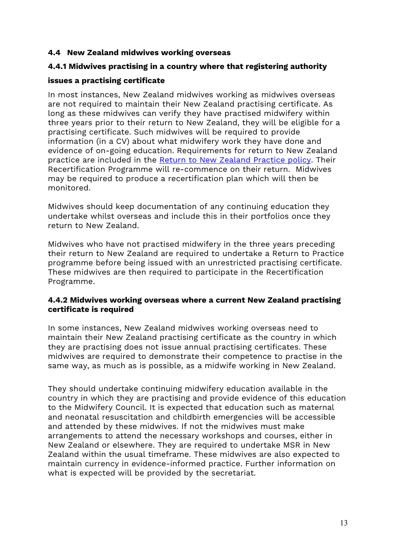#### **4.4 New Zealand midwives working overseas**

### **4.4.1 Midwives practising in a country where that registering authority**

### **issues a practising certificate**

In most instances, New Zealand midwives working as midwives overseas are not required to maintain their New Zealand practising certificate. As long as these midwives can verify they have practised midwifery within three years prior to their return to New Zealand, they will be eligible for a practising certificate. Such midwives will be required to provide information (in a CV) about what midwifery work they have done and evidence of on-going education. Requirements for return to New Zealand practice are included in the [Return to New Zealand Practice policy.](https://www.midwiferycouncil.health.nz/sites/default/files/for-midwives/return-to-practice/Return%20to%20NZ%20practice%20for%20midwives%20who%20have%20practised%20OS%20November%2015.pdf) Their Recertification Programme will re-commence on their return. Midwives may be required to produce a recertification plan which will then be monitored.

Midwives should keep documentation of any continuing education they undertake whilst overseas and include this in their portfolios once they return to New Zealand.

Midwives who have not practised midwifery in the three years preceding their return to New Zealand are required to undertake a Return to Practice programme before being issued with an unrestricted practising certificate. These midwives are then required to participate in the Recertification Programme.

### **4.4.2 Midwives working overseas where a current New Zealand practising certificate is required**

In some instances, New Zealand midwives working overseas need to maintain their New Zealand practising certificate as the country in which they are practising does not issue annual practising certificates. These midwives are required to demonstrate their competence to practise in the same way, as much as is possible, as a midwife working in New Zealand.

They should undertake continuing midwifery education available in the country in which they are practising and provide evidence of this education to the Midwifery Council. It is expected that education such as maternal and neonatal resuscitation and childbirth emergencies will be accessible and attended by these midwives. If not the midwives must make arrangements to attend the necessary workshops and courses, either in New Zealand or elsewhere. They are required to undertake MSR in New Zealand within the usual timeframe. These midwives are also expected to maintain currency in evidence-informed practice. Further information on what is expected will be provided by the secretariat.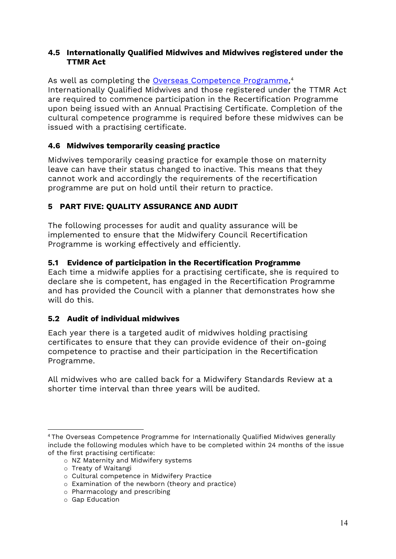### **4.5 Internationally Qualified Midwives and Midwives registered under the TTMR Act**

As well as completing the <u>Overseas Competence Programme</u>,<sup>[4](#page-13-0)</sup> Internationally Qualified Midwives and those registered under the TTMR Act are required to commence participation in the Recertification Programme upon being issued with an Annual Practising Certificate. Completion of the cultural competence programme is required before these midwives can be issued with a practising certificate.

# **4.6 Midwives temporarily ceasing practice**

Midwives temporarily ceasing practice for example those on maternity leave can have their status changed to inactive. This means that they cannot work and accordingly the requirements of the recertification programme are put on hold until their return to practice.

# **5 PART FIVE: QUALITY ASSURANCE AND AUDIT**

The following processes for audit and quality assurance will be implemented to ensure that the Midwifery Council Recertification Programme is working effectively and efficiently.

# **5.1 Evidence of participation in the Recertification Programme**

Each time a midwife applies for a practising certificate, she is required to declare she is competent, has engaged in the Recertification Programme and has provided the Council with a planner that demonstrates how she will do this.

# **5.2 Audit of individual midwives**

Each year there is a targeted audit of midwives holding practising certificates to ensure that they can provide evidence of their on-going competence to practise and their participation in the Recertification Programme.

All midwives who are called back for a Midwifery Standards Review at a shorter time interval than three years will be audited.

o NZ Maternity and Midwifery systems

o Examination of the newborn (theory and practice)

o Gap Education

<span id="page-13-0"></span><sup>4</sup> The Overseas Competence Programme for Internationally Qualified Midwives generally include the following modules which have to be completed within 24 months of the issue of the first practising certificate:

o Treaty of Waitangi

o Cultural competence in Midwifery Practice

o Pharmacology and prescribing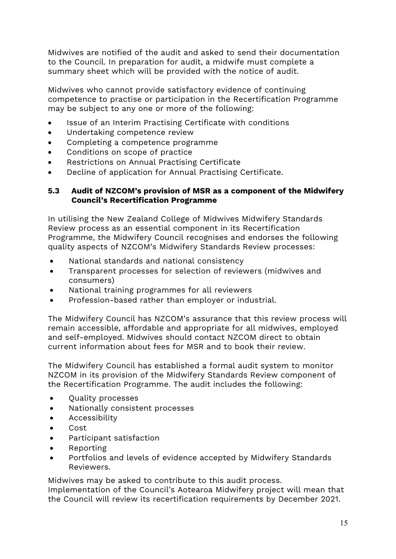Midwives are notified of the audit and asked to send their documentation to the Council. In preparation for audit, a midwife must complete a summary sheet which will be provided with the notice of audit.

Midwives who cannot provide satisfactory evidence of continuing competence to practise or participation in the Recertification Programme may be subject to any one or more of the following:

- Issue of an Interim Practising Certificate with conditions
- Undertaking competence review
- Completing a competence programme
- Conditions on scope of practice
- Restrictions on Annual Practising Certificate
- Decline of application for Annual Practising Certificate.

### **5.3 Audit of NZCOM's provision of MSR as a component of the Midwifery Council's Recertification Programme**

In utilising the New Zealand College of Midwives Midwifery Standards Review process as an essential component in its Recertification Programme, the Midwifery Council recognises and endorses the following quality aspects of NZCOM's Midwifery Standards Review processes:

- National standards and national consistency
- Transparent processes for selection of reviewers (midwives and consumers)
- National training programmes for all reviewers
- Profession-based rather than employer or industrial.

The Midwifery Council has NZCOM's assurance that this review process will remain accessible, affordable and appropriate for all midwives, employed and self-employed. Midwives should contact NZCOM direct to obtain current information about fees for MSR and to book their review.

The Midwifery Council has established a formal audit system to monitor NZCOM in its provision of the Midwifery Standards Review component of the Recertification Programme. The audit includes the following:

- Quality processes
- Nationally consistent processes
- Accessibility
- Cost
- Participant satisfaction
- Reporting
- Portfolios and levels of evidence accepted by Midwifery Standards Reviewers.

Midwives may be asked to contribute to this audit process.

Implementation of the Council's Aotearoa Midwifery project will mean that the Council will review its recertification requirements by December 2021.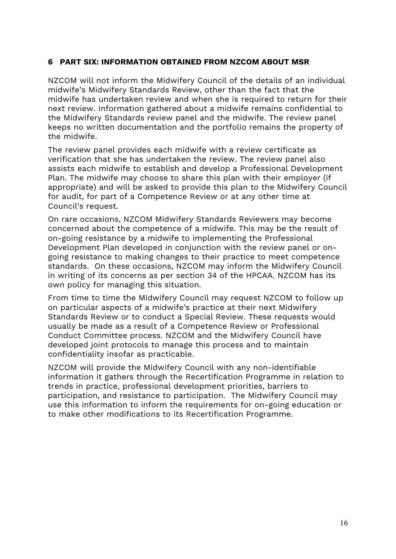#### **6 PART SIX: INFORMATION OBTAINED FROM NZCOM ABOUT MSR**

NZCOM will not inform the Midwifery Council of the details of an individual midwife's Midwifery Standards Review, other than the fact that the midwife has undertaken review and when she is required to return for their next review. Information gathered about a midwife remains confidential to the Midwifery Standards review panel and the midwife. The review panel keeps no written documentation and the portfolio remains the property of the midwife.

The review panel provides each midwife with a review certificate as verification that she has undertaken the review. The review panel also assists each midwife to establish and develop a Professional Development Plan. The midwife may choose to share this plan with their employer (if appropriate) and will be asked to provide this plan to the Midwifery Council for audit, for part of a Competence Review or at any other time at Council's request.

On rare occasions, NZCOM Midwifery Standards Reviewers may become concerned about the competence of a midwife. This may be the result of on-going resistance by a midwife to implementing the Professional Development Plan developed in conjunction with the review panel or ongoing resistance to making changes to their practice to meet competence standards. On these occasions, NZCOM may inform the Midwifery Council in writing of its concerns as per section 34 of the HPCAA. NZCOM has its own policy for managing this situation.

From time to time the Midwifery Council may request NZCOM to follow up on particular aspects of a midwife's practice at their next Midwifery Standards Review or to conduct a Special Review. These requests would usually be made as a result of a Competence Review or Professional Conduct Committee process. NZCOM and the Midwifery Council have developed joint protocols to manage this process and to maintain confidentiality insofar as practicable.

NZCOM will provide the Midwifery Council with any non-identifiable information it gathers through the Recertification Programme in relation to trends in practice, professional development priorities, barriers to participation, and resistance to participation. The Midwifery Council may use this information to inform the requirements for on-going education or to make other modifications to its Recertification Programme.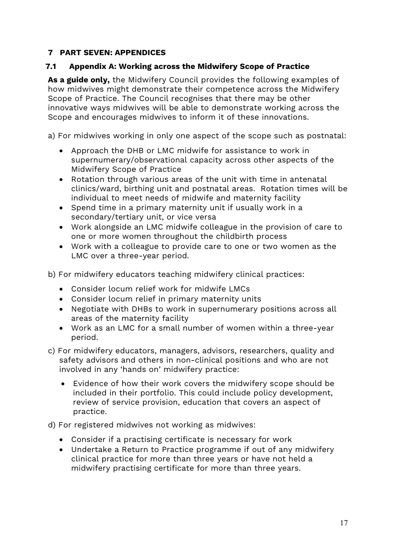# **7 PART SEVEN: APPENDICES**

# **7.1 Appendix A: Working across the Midwifery Scope of Practice**

**As a guide only,** the Midwifery Council provides the following examples of how midwives might demonstrate their competence across the Midwifery Scope of Practice. The Council recognises that there may be other innovative ways midwives will be able to demonstrate working across the Scope and encourages midwives to inform it of these innovations.

a) For midwives working in only one aspect of the scope such as postnatal:

- Approach the DHB or LMC midwife for assistance to work in supernumerary/observational capacity across other aspects of the Midwifery Scope of Practice
- Rotation through various areas of the unit with time in antenatal clinics/ward, birthing unit and postnatal areas. Rotation times will be individual to meet needs of midwife and maternity facility
- Spend time in a primary maternity unit if usually work in a secondary/tertiary unit, or vice versa
- Work alongside an LMC midwife colleague in the provision of care to one or more women throughout the childbirth process
- Work with a colleague to provide care to one or two women as the LMC over a three-year period.

b) For midwifery educators teaching midwifery clinical practices:

- Consider locum relief work for midwife LMCs
- Consider locum relief in primary maternity units
- Negotiate with DHBs to work in supernumerary positions across all areas of the maternity facility
- Work as an LMC for a small number of women within a three-year period.
- c) For midwifery educators, managers, advisors, researchers, quality and safety advisors and others in non-clinical positions and who are not involved in any 'hands on' midwifery practice:
	- Evidence of how their work covers the midwifery scope should be included in their portfolio. This could include policy development, review of service provision, education that covers an aspect of practice.

d) For registered midwives not working as midwives:

- Consider if a practising certificate is necessary for work
- Undertake a Return to Practice programme if out of any midwifery clinical practice for more than three years or have not held a midwifery practising certificate for more than three years.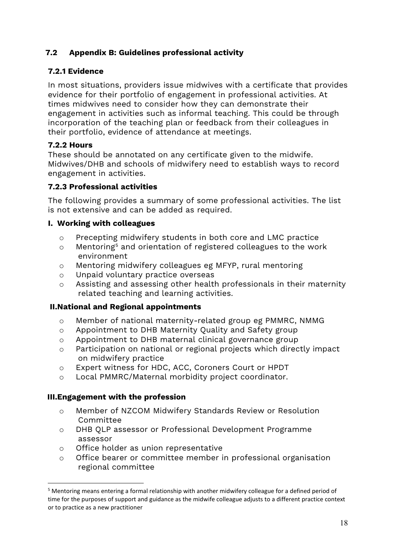# **7.2 Appendix B: Guidelines professional activity**

# **7.2.1 Evidence**

In most situations, providers issue midwives with a certificate that provides evidence for their portfolio of engagement in professional activities. At times midwives need to consider how they can demonstrate their engagement in activities such as informal teaching. This could be through incorporation of the teaching plan or feedback from their colleagues in their portfolio, evidence of attendance at meetings.

# **7.2.2 Hours**

These should be annotated on any certificate given to the midwife. Midwives/DHB and schools of midwifery need to establish ways to record engagement in activities.

# **7.2.3 Professional activities**

The following provides a summary of some professional activities. The list is not extensive and can be added as required.

# **I. Working with colleagues**

- $\circ$  Precepting midwifery students in both core and LMC practice  $\circ$  Mentoring<sup>5</sup> and orientation of registered colleagues to the wor
- Mentoring<sup>[5](#page-17-0)</sup> and orientation of registered colleagues to the work environment
- o Mentoring midwifery colleagues eg MFYP, rural mentoring
- o Unpaid voluntary practice overseas
- o Assisting and assessing other health professionals in their maternity related teaching and learning activities.

# **II.National and Regional appointments**

- $\circ$  Member of national maternity-related group eg PMMRC, NMMG  $\circ$  Appointment to DHB Maternity Ouality and Safety group
- $\circ$  Appointment to DHB Maternity Quality and Safety group<br> $\circ$  Appointment to DHB maternal clinical governance group
- Appointment to DHB maternal clinical governance group
- o Participation on national or regional projects which directly impact on midwifery practice
- o Expert witness for HDC, ACC, Coroners Court or HPDT
- o Local PMMRC/Maternal morbidity project coordinator.

# **III.Engagement with the profession**

- o Member of NZCOM Midwifery Standards Review or Resolution Committee
- o DHB QLP assessor or Professional Development Programme assessor
- o Office holder as union representative
- o Office bearer or committee member in professional organisation regional committee

<span id="page-17-0"></span><sup>5</sup> Mentoring means entering a formal relationship with another midwifery colleague for a defined period of time for the purposes of support and guidance as the midwife colleague adjusts to a different practice context or to practice as a new practitioner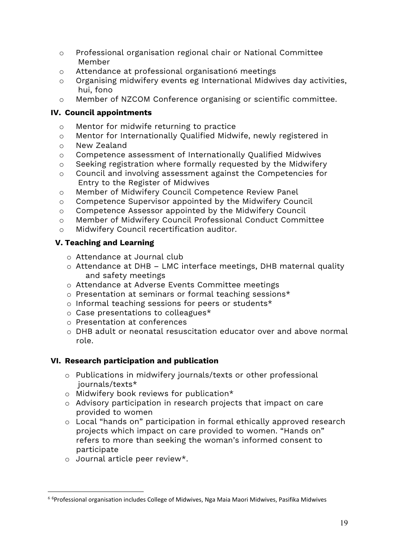- o Professional organisation regional chair or National Committee Member
- $\circ$  Attendance at professional organisation[6](#page-18-0) meetings<br> $\circ$  Organising midwiferv events eg International Midwi
- Organising midwifery events eg International Midwives day activities, hui, fono
- o Member of NZCOM Conference organising or scientific committee.

# **IV. Council appointments**

- $\circ$  Mentor for midwife returning to practice<br> $\circ$  Mentor for Internationally Oualified Midw
- Mentor for Internationally Qualified Midwife, newly registered in
- o New Zealand
- $\circ$  Competence assessment of Internationally Qualified Midwives<br> $\circ$  Seeking registration where formally requested by the Midwifer
- Seeking registration where formally requested by the Midwifery
- o Council and involving assessment against the Competencies for Entry to the Register of Midwives
- o Member of Midwifery Council Competence Review Panel
- o Competence Supervisor appointed by the Midwifery Council
- o Competence Assessor appointed by the Midwifery Council
- o Member of Midwifery Council Professional Conduct Committee
- o Midwifery Council recertification auditor.

### **V. Teaching and Learning**

- o Attendance at Journal club
- o Attendance at DHB LMC interface meetings, DHB maternal quality and safety meetings
- o Attendance at Adverse Events Committee meetings
- o Presentation at seminars or formal teaching sessions\*
- o Informal teaching sessions for peers or students\*
- o Case presentations to colleagues\*
- o Presentation at conferences
- o DHB adult or neonatal resuscitation educator over and above normal role.

#### **VI. Research participation and publication**

- o Publications in midwifery journals/texts or other professional journals/texts\*
- o Midwifery book reviews for publication\*
- o Advisory participation in research projects that impact on care provided to women
- o Local "hands on" participation in formal ethically approved research projects which impact on care provided to women. "Hands on" refers to more than seeking the woman's informed consent to participate
- o Journal article peer review\*.

<span id="page-18-0"></span><sup>&</sup>lt;sup>6 6</sup>Professional organisation includes College of Midwives, Nga Maia Maori Midwives, Pasifika Midwives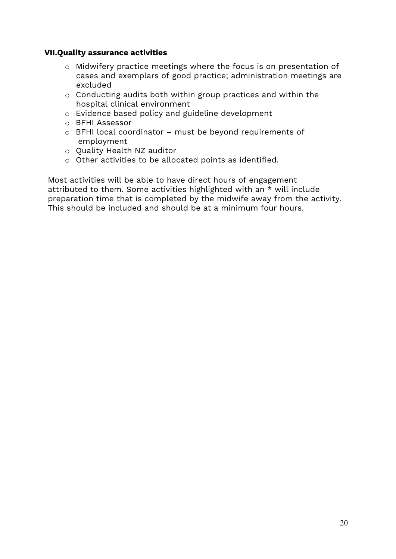#### **VII.Quality assurance activities**

- o Midwifery practice meetings where the focus is on presentation of cases and exemplars of good practice; administration meetings are excluded
- o Conducting audits both within group practices and within the hospital clinical environment
- o Evidence based policy and guideline development
- o BFHI Assessor
- o BFHI local coordinator must be beyond requirements of employment
- o Quality Health NZ auditor
- o Other activities to be allocated points as identified.

Most activities will be able to have direct hours of engagement attributed to them. Some activities highlighted with an \* will include preparation time that is completed by the midwife away from the activity. This should be included and should be at a minimum four hours.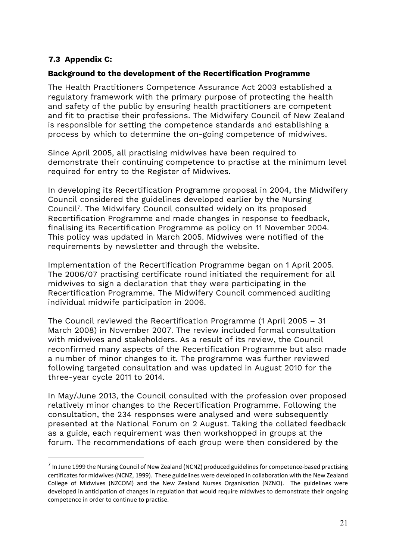# **7.3 Appendix C:**

#### **Background to the development of the Recertification Programme**

The Health Practitioners Competence Assurance Act 2003 established a regulatory framework with the primary purpose of protecting the health and safety of the public by ensuring health practitioners are competent and fit to practise their professions. The Midwifery Council of New Zealand is responsible for setting the competence standards and establishing a process by which to determine the on-going competence of midwives.

Since April 2005, all practising midwives have been required to demonstrate their continuing competence to practise at the minimum level required for entry to the Register of Midwives.

In developing its Recertification Programme proposal in 2004, the Midwifery Council considered the guidelines developed earlier by the Nursing Council[7](#page-20-0). The Midwifery Council consulted widely on its proposed Recertification Programme and made changes in response to feedback, finalising its Recertification Programme as policy on 11 November 2004. This policy was updated in March 2005. Midwives were notified of the requirements by newsletter and through the website.

Implementation of the Recertification Programme began on 1 April 2005. The 2006/07 practising certificate round initiated the requirement for all midwives to sign a declaration that they were participating in the Recertification Programme. The Midwifery Council commenced auditing individual midwife participation in 2006.

The Council reviewed the Recertification Programme (1 April 2005 – 31 March 2008) in November 2007. The review included formal consultation with midwives and stakeholders. As a result of its review, the Council reconfirmed many aspects of the Recertification Programme but also made a number of minor changes to it. The programme was further reviewed following targeted consultation and was updated in August 2010 for the three-year cycle 2011 to 2014.

In May/June 2013, the Council consulted with the profession over proposed relatively minor changes to the Recertification Programme. Following the consultation, the 234 responses were analysed and were subsequently presented at the National Forum on 2 August. Taking the collated feedback as a guide, each requirement was then workshopped in groups at the forum. The recommendations of each group were then considered by the

<span id="page-20-0"></span><sup>&</sup>lt;sup>7</sup> In June 1999 the Nursing Council of New Zealand (NCNZ) produced guidelines for competence-based practising certificates for midwives (NCNZ, 1999). These guidelines were developed in collaboration with the New Zealand College of Midwives (NZCOM) and the New Zealand Nurses Organisation (NZNO). The guidelines were developed in anticipation of changes in regulation that would require midwives to demonstrate their ongoing competence in order to continue to practise.